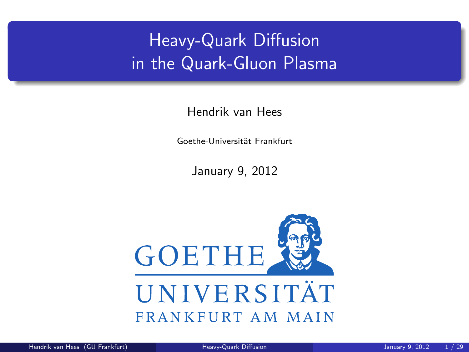# Heavy-Quark Diffusion in the Quark-Gluon Plasma

Hendrik van Hees

Goethe-Universität Frankfurt

<span id="page-0-0"></span>January 9, 2012

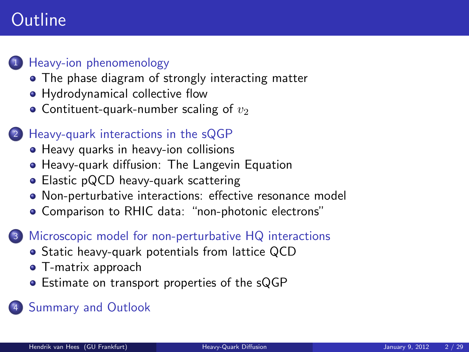## **Outline**



#### <sup>1</sup> [Heavy-ion phenomenology](#page-2-0)

- [The phase diagram of strongly interacting matter](#page-2-0)
- [Hydrodynamical collective flow](#page-4-0)
- [Contituent-quark-number scaling of](#page-6-0)  $v_2$

#### <sup>2</sup> [Heavy-quark interactions in the sQGP](#page-7-0)

- [Heavy quarks in heavy-ion collisions](#page-7-0)
- [Heavy-quark diffusion: The Langevin Equation](#page-9-0)
- [Elastic pQCD heavy-quark scattering](#page-12-0)
- [Non-perturbative interactions: effective resonance model](#page-13-0)
- [Comparison to RHIC data: "non-photonic electrons"](#page-18-0)

#### $\blacksquare$  [Microscopic model for non-perturbative HQ interactions](#page-21-0)

- [Static heavy-quark potentials from lattice QCD](#page-21-0)
- [T-matrix approach](#page-22-0)
- [Estimate on transport properties of the sQGP](#page-29-0)

#### **[Summary and Outlook](#page-30-0)**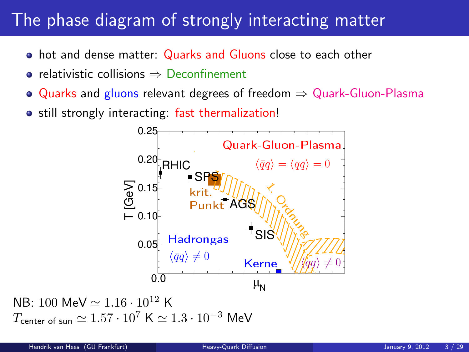#### The phase diagram of strongly interacting matter

- hot and dense matter: Quarks and Gluons close to each other
- relativistic collisions ⇒ Deconfinement
- $\bullet$  Quarks and gluons relevant degrees of freedom  $\Rightarrow$  Quark-Gluon-Plasma
- still strongly interacting: fast thermalization!

<span id="page-2-0"></span>

NB: 100 MeV  $\simeq 1.16 \cdot 10^{12}$  K  $T_{\text{center of sun}} \simeq 1.57 \cdot 10^7 \text{ K} \simeq 1.3 \cdot 10^{-3} \text{ MeV}$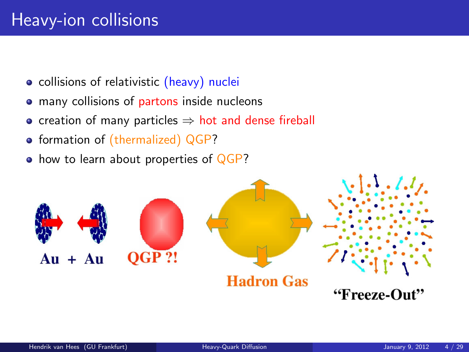# Heavy-ion collisions

- collisions of relativistic (heavy) nuclei
- many collisions of partons inside nucleons
- creation of many particles  $\Rightarrow$  hot and dense fireball
- formation of (thermalized) QGP?
- how to learn about properties of QGP?

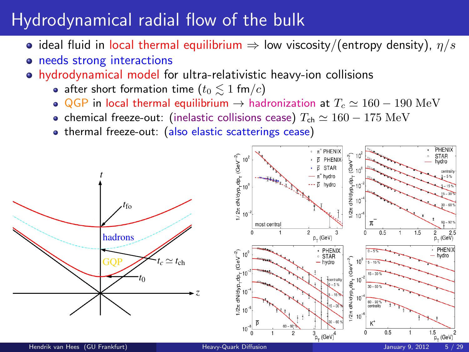# Hydrodynamical radial flow of the bulk

- ideal fluid in local thermal equilibrium  $\Rightarrow$  low viscosity/(entropy density),  $\eta/s$
- o needs strong interactions
- hydrodynamical model for ultra-relativistic heavy-ion collisions
	- after short formation time ( $t_0 \leq 1$  fm/c)
	- QGP in local thermal equilibrium  $\rightarrow$  hadronization at  $T_c \simeq 160 190$  MeV
	- chemical freeze-out: (inelastic collisions cease)  $T_{ch} \simeq 160 175 \text{ MeV}$
	- thermal freeze-out: (also elastic scatterings cease)

<span id="page-4-0"></span>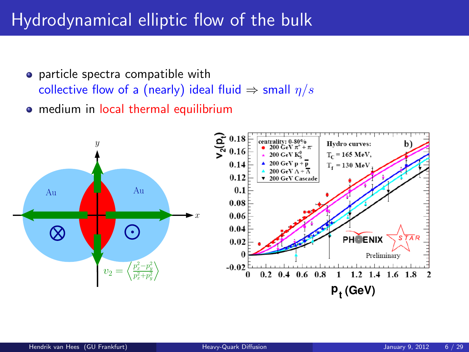### Hydrodynamical elliptic flow of the bulk

- particle spectra compatible with collective flow of a (nearly) ideal fluid  $\Rightarrow$  small  $\eta/s$
- **•** medium in local thermal equilibrium

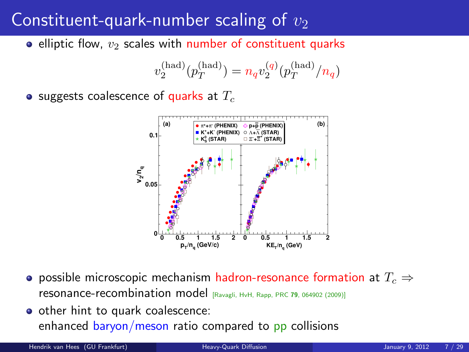## Constituent-quark-number scaling of  $v_2$

• elliptic flow,  $v_2$  scales with number of constituent quarks

$$
v_2^{\rm (had)}(p_T^{\rm (had)})=n_qv_2^{(q)}(p_T^{\rm (had)}/n_q)
$$

• suggests coalescence of quarks at  $T_c$ 



- **•** possible microscopic mechanism hadron-resonance formation at  $T_c \Rightarrow$ resonance-recombination model [Ravagli, HvH, Rapp, PRC <sup>79</sup>, 064902 (2009)]
- other hint to quark coalescence: enhanced baryon/meson ratio compared to pp collisions

Hendrik van Hees (GU Frankfurt) [Heavy-Quark Diffusion](#page-0-0) January 9, 2012

<span id="page-6-0"></span>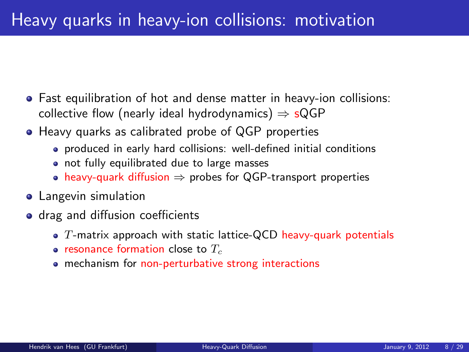- Fast equilibration of hot and dense matter in heavy-ion collisions: collective flow (nearly ideal hydrodynamics)  $\Rightarrow$  sQGP
- Heavy quarks as calibrated probe of QGP properties
	- produced in early hard collisions: well-defined initial conditions
	- not fully equilibrated due to large masses
	- heavy-quark diffusion  $\Rightarrow$  probes for QGP-transport properties
- **•** Langevin simulation
- <span id="page-7-0"></span>• drag and diffusion coefficients
	- $\bullet$  T-matrix approach with static lattice-QCD heavy-quark potentials
	- resonance formation close to  $T_c$
	- mechanism for non-perturbative strong interactions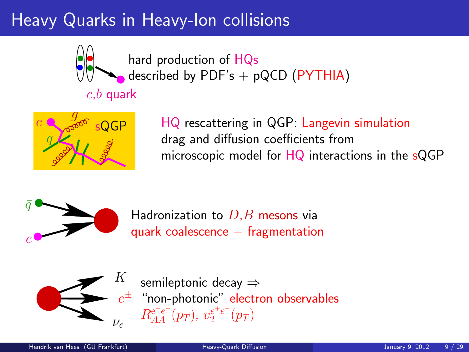# Heavy Quarks in Heavy-Ion collisions



hard production of HQs described by PDF's  $+$  pQCD (PYTHIA)



HQ rescattering in QGP: Langevin simulation drag and diffusion coefficients from microscopic model for  $HQ$  interactions in the  $sQGP$ 



Hadronization to  $D,B$  mesons via quark coalescence  $+$  fragmentation



semileptonic decay ⇒ "non-photonic" electron observables  $R_{AA}^{\mathrm{e^+e^-}}(p_T),\ v_{2}^{e^+e^-}(p_T)$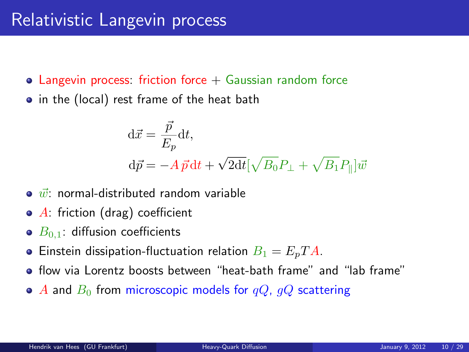- Langevin process: friction force  $+$  Gaussian random force
- in the (local) rest frame of the heat bath

<span id="page-9-0"></span>
$$
\begin{aligned} \mathbf{d}\vec{x} &= \frac{\vec{p}}{E_p} \mathbf{d}t, \\ \mathbf{d}\vec{p} &= -A\,\vec{p}\,\mathbf{d}t + \sqrt{2\mathbf{d}t} [\sqrt{B_0}P_\perp + \sqrt{B_1}P_\parallel]\vec{w} \end{aligned}
$$

- $\bullet$   $\vec{w}$  normal-distributed random variable
- $\bullet$  A: friction (drag) coefficient
- $\bullet$   $B_{0,1}$ : diffusion coefficients
- **•** Einstein dissipation-fluctuation relation  $B_1 = E_p T A$ .
- flow via Lorentz boosts between "heat-bath frame" and "lab frame"
- A and  $B_0$  from microscopic models for  $qQ$ ,  $qQ$  scattering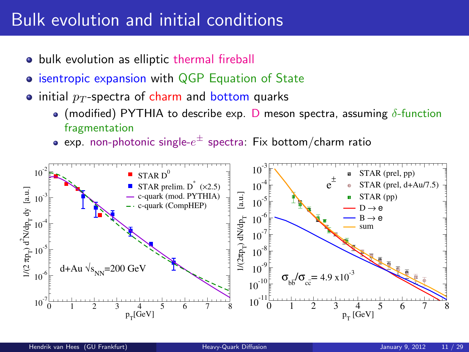### Bulk evolution and initial conditions

- **•** bulk evolution as elliptic thermal fireball
- **isentropic expansion with QGP Equation of State**
- initial  $p_T$ -spectra of charm and bottom quarks
	- (modified) PYTHIA to describe exp. D meson spectra, assuming  $\delta$ -function fragmentation
	- exp. non-photonic single- $e^\pm$  spectra: Fix bottom/charm ratio

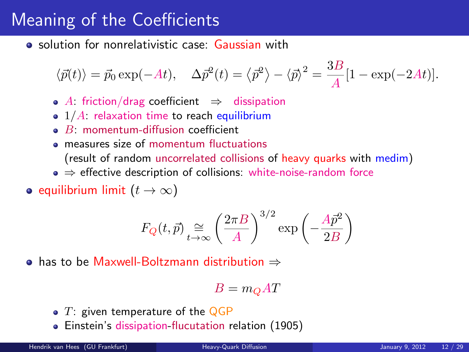# Meaning of the Coefficients

**•** solution for nonrelativistic case: Gaussian with

$$
\langle \vec{p}(t) \rangle = \vec{p}_0 \exp(-At), \quad \Delta \vec{p}^2(t) = \langle \vec{p}^2 \rangle - \langle \vec{p} \rangle^2 = \frac{3B}{A} [1 - \exp(-2At)].
$$

- A: friction/drag coefficient  $\Rightarrow$  dissipation
- $\bullet$  1/A: relaxation time to reach equilibrium
- $\bullet$  B: momentum-diffusion coefficient
- **e** measures size of momentum fluctuations (result of random uncorrelated collisions of heavy quarks with medim)
- $\bullet \Rightarrow$  effective description of collisions: white-noise-random force
- equilibrium limit  $(t \to \infty)$

$$
F_Q(t, \vec{p}) \underset{t \to \infty}{\cong} \left(\frac{2\pi B}{A}\right)^{3/2} \exp\left(-\frac{A\vec{p}^2}{2B}\right)
$$

has to be Maxwell-Boltzmann distribution ⇒

$$
B = m_Q A T
$$

- $\bullet$  T: given temperature of the QGP
- Einstein's dissipation-flucutation relation (1905)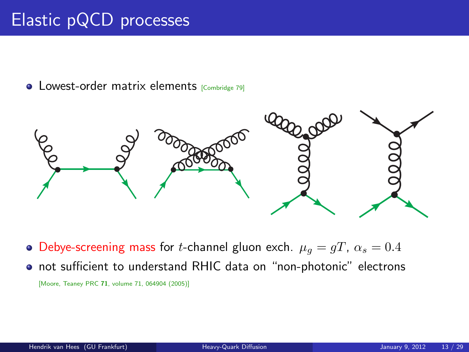# Elastic pQCD processes

**•** Lowest-order matrix elements [Combridge 79]



• Debye-screening mass for *t*-channel gluon exch.  $\mu_q = gT$ ,  $\alpha_s = 0.4$ 

<span id="page-12-0"></span>not sufficient to understand RHIC data on "non-photonic" electrons [Moore, Teaney PRC 71, volume 71, 064904 (2005)]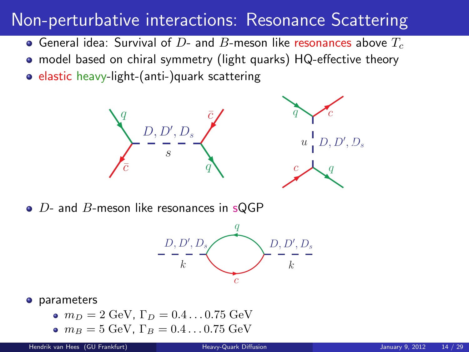### Non-perturbative interactions: Resonance Scattering

- General idea: Survival of  $D$  and  $B$ -meson like resonances above  $T_c$
- model based on chiral symmetry (light quarks) HQ-effective theory
- $\bullet$  elastic heavy-light-(anti-)quark scattering



 $\bullet$  D- and B-meson like resonances in sQGP

<span id="page-13-0"></span>

#### **o** parameters

- $m_D = 2$  GeV,  $\Gamma_D = 0.4 \dots 0.75$  GeV
- $m_B = 5 \text{ GeV}$ ,  $\Gamma_B = 0.4 \dots 0.75 \text{ GeV}$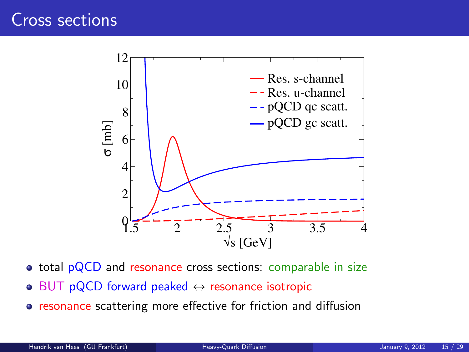

- total pQCD and resonance cross sections: comparable in size
- $\bullet$  BUT pQCD forward peaked  $\leftrightarrow$  resonance isotropic
- **•** resonance scattering more effective for friction and diffusion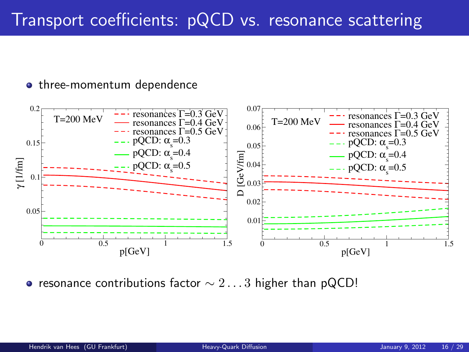• three-momentum dependence



• resonance contributions factor  $\sim 2\dots 3$  higher than pQCD!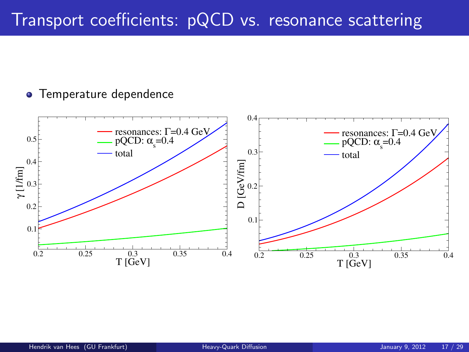## Transport coefficients: pQCD vs. resonance scattering

#### **• Temperature dependence**

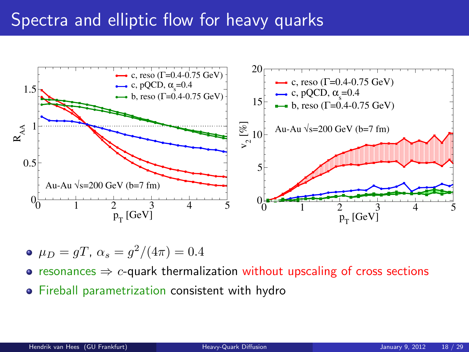### Spectra and elliptic flow for heavy quarks



• 
$$
\mu_D = gT
$$
,  $\alpha_s = g^2/(4\pi) = 0.4$ 

- resonances  $\Rightarrow$  c-quark thermalization without upscaling of cross sections
- **•** Fireball parametrization consistent with hydro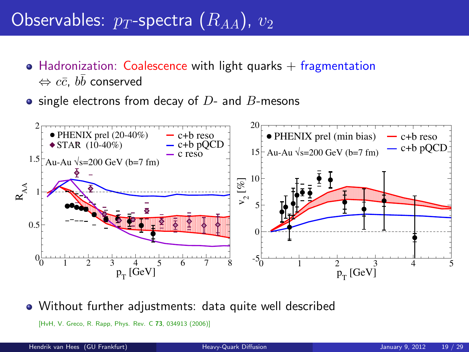# Observables:  $p_T$ -spectra  $(R_{AA})$ ,  $v_2$

- Hadronization: Coalescence with light quarks  $+$  fragmentation  $\Leftrightarrow c\bar{c},~b\bar{b}$  conserved
- $\bullet$  single electrons from decay of  $D$  and  $B$ -mesons



Without further adjustments: data quite well described

<span id="page-18-0"></span>[HvH, V. Greco, R. Rapp, Phys. Rev. C 73, 034913 (2006)]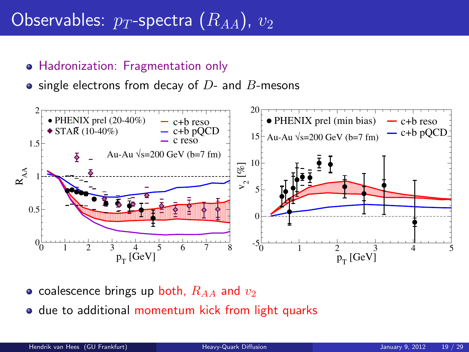# Observables:  $p_T$ -spectra  $(R_{AA})$ ,  $v_2$

#### **• Hadronization: Fragmentation only**

 $\bullet$  single electrons from decay of  $D$ - and  $B$ -mesons



- coalescence brings up both,  $R_{AA}$  and  $v_2$
- o due to additional momentum kick from light quarks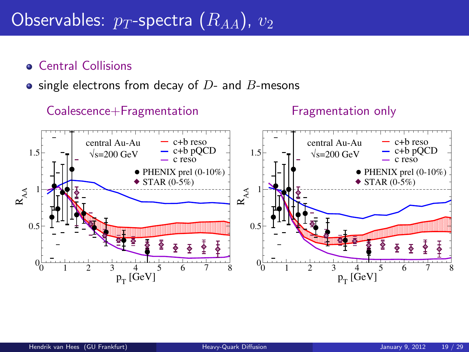# Observables:  $p_T$ -spectra  $(\overline{R}_{AA})$ ,  $v_2$

#### **Central Collisions**

#### $\bullet$  single electrons from decay of  $D$ - and  $B$ -mesons

#### Coalescence+Fragmentation 0 1 2 3 4 5 6 7 8  $p_T^{\phantom{\dagger}}$  [GeV]  $0_{0}$  $0.5$  $1\rightarrow$ 1.5  $\rm R_{AA}$  $\bullet$  PHENIX prel (0-10%)  $\blacklozenge$  STAR (0-5%) c+b reso  $-$  c+b pQCD<br> $-$  c reso  $\sqrt{s}$ =200 GeV central Au-Au Fragmentation only 0 1 2 3 4 5 6 7 8  $p_T^{\phantom{\dagger}}$  [GeV]  $0_0$  $^{\circ}$  $1 - \epsilon$ 1.5  $R_{AA}$  $\bullet$  PHENIX prel (0-10%)  $\blacklozenge$  STAR (0-5%) c+b reso  $-$  c+b pQCD<br> $-$  c reso  $\sqrt{s}$ =200 GeV central Au-Au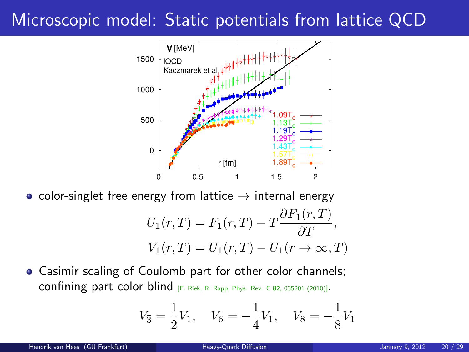# Microscopic model: Static potentials from lattice QCD



• color-singlet free energy from lattice  $\rightarrow$  internal energy

$$
U_1(r,T) = F_1(r,T) - T \frac{\partial F_1(r,T)}{\partial T},
$$
  

$$
V_1(r,T) = U_1(r,T) - U_1(r \to \infty,T)
$$

Casimir scaling of Coulomb part for other color channels; confining part color blind [F. Riek, R. Rapp, Phys. Rev. C <sup>82</sup>, 035201 (2010)].

<span id="page-21-0"></span>
$$
V_{\bar{3}} = \frac{1}{2}V_1, \quad V_6 = -\frac{1}{4}V_1, \quad V_8 = -\frac{1}{8}V_1
$$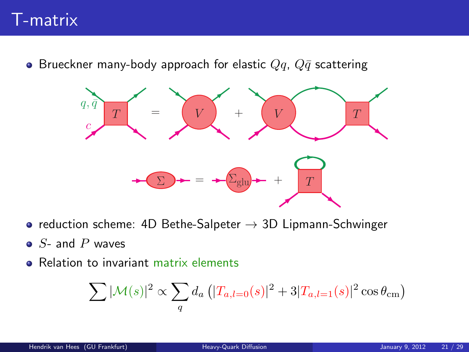### T-matrix

• Brueckner many-body approach for elastic  $Qq$ ,  $Q\bar{q}$  scattering



- reduction scheme: 4D Bethe-Salpeter  $\rightarrow$  3D Lipmann-Schwinger
- $\bullet$  S- and P waves
- **e** Relation to invariant matrix elements

<span id="page-22-0"></span>
$$
\sum |\mathcal{M}(s)|^2 \propto \sum_{q} d_a \left( |T_{a,l=0}(s)|^2 + 3|T_{a,l=1}(s)|^2 \cos \theta_{\rm cm} \right)
$$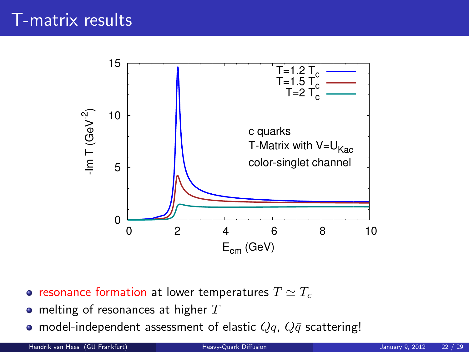

- resonance formation at lower temperatures  $T \simeq T_c$
- $\bullet$  melting of resonances at higher  $T$
- model-independent assessment of elastic  $Qq$ ,  $Q\bar{q}$  scattering!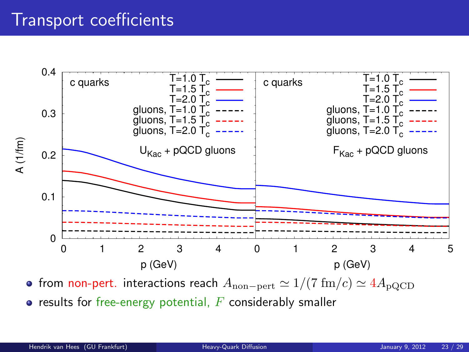### Transport coefficients



• from non-pert. interactions reach  $A_{\text{non-pert}} \simeq 1/(7 \text{ fm}/c) \simeq 4A_{\text{pQCD}}$  $\bullet$  results for free-energy potential,  $F$  considerably smaller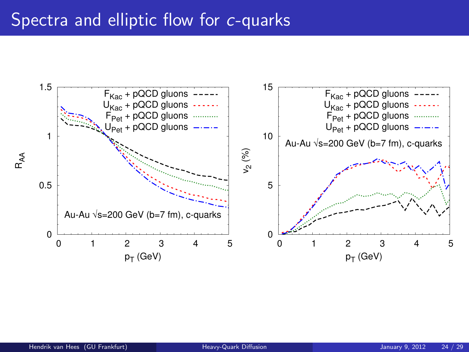#### Spectra and elliptic flow for c-quarks

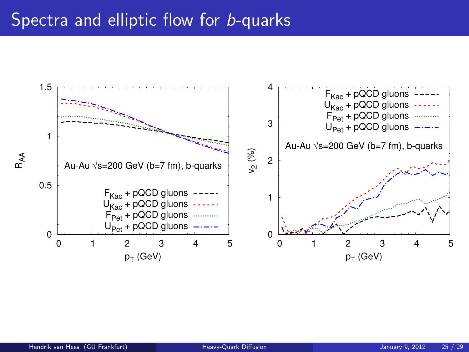#### Spectra and elliptic flow for **b-quarks**

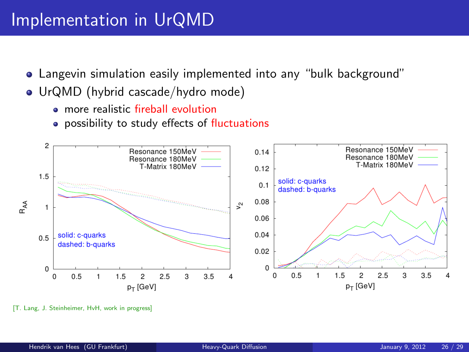### Implementation in UrQMD

- Langevin simulation easily implemented into any "bulk background"
- UrQMD (hybrid cascade/hydro mode)
	- **•** more realistic fireball evolution
	- possibility to study effects of fluctuations



<sup>[</sup>T. Lang, J. Steinheimer, HvH, work in progress]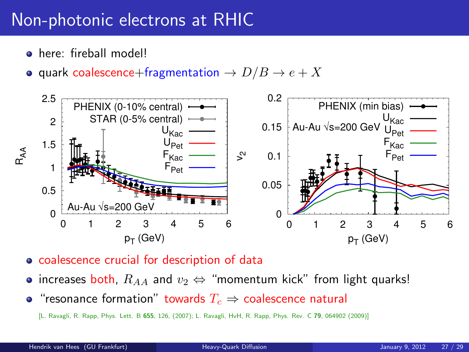# Non-photonic electrons at RHIC

- here: fireball model!
- quark coalescence+fragmentation  $\rightarrow D/B \rightarrow e + X$



- coalescence crucial for description of data
- increases both,  $R_{AA}$  and  $v_2 \Leftrightarrow$  "momentum kick" from light quarks!
- "resonance formation" towards  $T_c \Rightarrow$  coalescence natural

[L. Ravagli, R. Rapp, Phys. Lett. B 655, 126, (2007); L. Ravagli, HvH, R. Rapp, Phys. Rev. C 79, 064902 (2009)]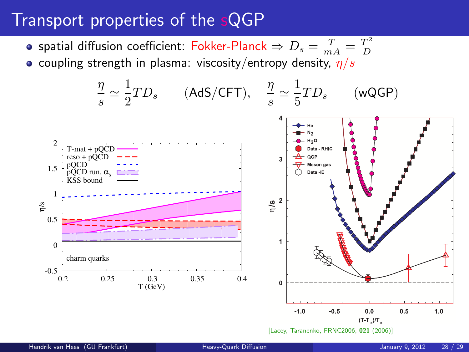## Transport properties of the sQGP

spatial diffusion coefficient: Fokker-Planck  $\Rightarrow D_s = \frac{T}{mA} = \frac{T^2}{D}$ D • coupling strength in plasma: viscosity/entropy density,  $\eta/s$ 

<span id="page-29-0"></span>